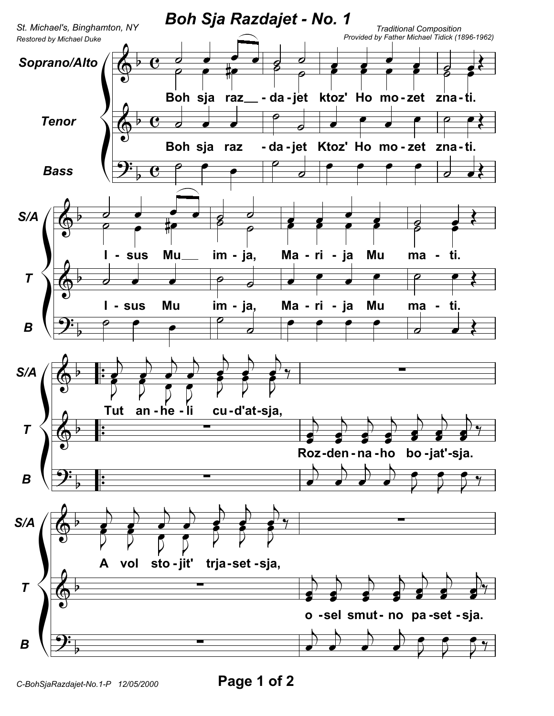

Page 1 of 2